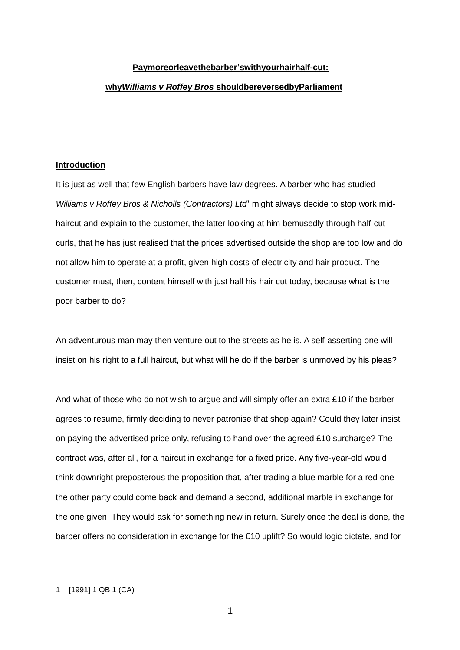## **Paymoreorleavethebarber'swithyourhairhalf-cut:**

## **why***Williams v Roffey Bros* **shouldbereversedbyParliament**

#### **Introduction**

It is just as well that few English barbers have law degrees. A barber who has studied *Williams v Roffey Bros & Nicholls (Contractors) Ltd <sup>1</sup>* might always decide to stop work midhaircut and explain to the customer, the latter looking at him bemusedly through half-cut curls, that he has just realised that the prices advertised outside the shop are too low and do not allow him to operate at a profit, given high costs of electricity and hair product. The customer must, then, content himself with just half his hair cut today, because what is the poor barber to do?

An adventurous man may then venture out to the streets as he is. A self-asserting one will insist on his right to a full haircut, but what will he do if the barber is unmoved by his pleas?

And what of those who do not wish to argue and will simply offer an extra £10 if the barber agrees to resume, firmly deciding to never patronise that shop again? Could they later insist on paying the advertised price only, refusing to hand over the agreed £10 surcharge? The contract was, after all, for a haircut in exchange for a fixed price. Any five-year-old would think downright preposterous the proposition that, after trading a blue marble for a red one the other party could come back and demand a second, additional marble in exchange for the one given. They would ask for something new in return. Surely once the deal is done, the barber offers no consideration in exchange for the £10 uplift? So would logic dictate, and for

<sup>1</sup> [1991] 1 QB 1 (CA)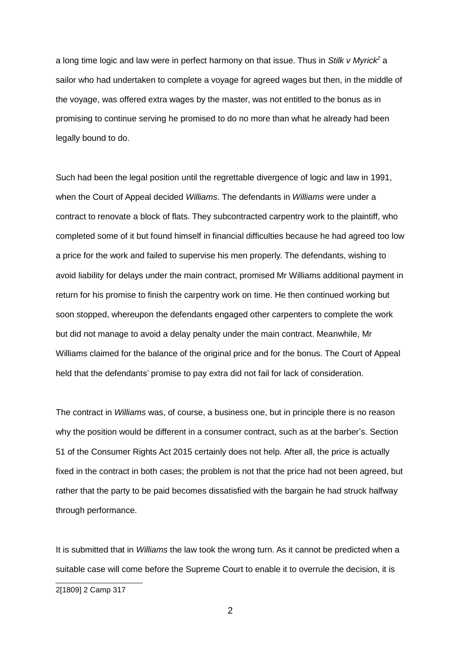a long time logic and law were in perfect harmony on that issue. Thus in *Stilk v Myrick <sup>2</sup>* a sailor who had undertaken to complete a voyage for agreed wages but then, in the middle of the voyage, was offered extra wages by the master, was not entitled to the bonus as in promising to continue serving he promised to do no more than what he already had been legally bound to do.

Such had been the legal position until the regrettable divergence of logic and law in 1991, when the Court of Appeal decided *Williams*. The defendants in *Williams* were under a contract to renovate a block of flats. They subcontracted carpentry work to the plaintiff, who completed some of it but found himself in financial difficulties because he had agreed too low a price for the work and failed to supervise his men properly. The defendants, wishing to avoid liability for delays under the main contract, promised Mr Williams additional payment in return for his promise to finish the carpentry work on time. He then continued working but soon stopped, whereupon the defendants engaged other carpenters to complete the work but did not manage to avoid a delay penalty under the main contract. Meanwhile, Mr Williams claimed for the balance of the original price and for the bonus. The Court of Appeal held that the defendants' promise to pay extra did not fail for lack of consideration.

The contract in *Williams* was, of course, a business one, but in principle there is no reason why the position would be different in a consumer contract, such as at the barber's. Section 51 of the Consumer Rights Act 2015 certainly does not help. After all, the price is actually fixed in the contract in both cases; the problem is not that the price had not been agreed, but rather that the party to be paid becomes dissatisfied with the bargain he had struck halfway through performance.

It is submitted that in *Williams* the law took the wrong turn. As it cannot be predicted when a suitable case will come before the Supreme Court to enable it to overrule the decision, it is

<sup>2[1809]</sup> 2 Camp 317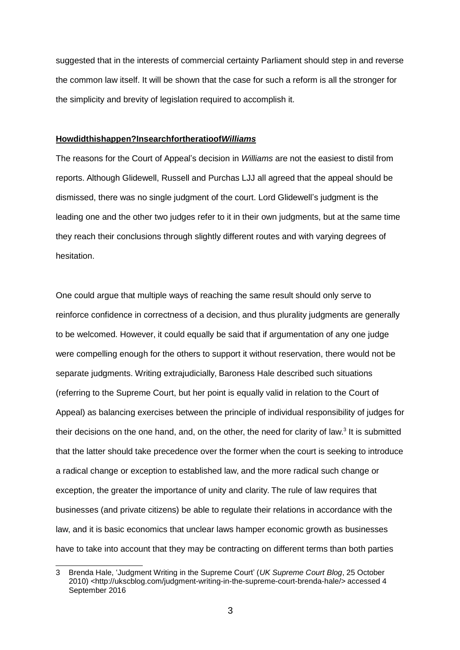suggested that in the interests of commercial certainty Parliament should step in and reverse the common law itself. It will be shown that the case for such a reform is all the stronger for the simplicity and brevity of legislation required to accomplish it.

#### **Howdidthishappen?Insearchfortheratioof***Williams*

The reasons for the Court of Appeal's decision in *Williams* are not the easiest to distil from reports. Although Glidewell, Russell and Purchas LJJ all agreed that the appeal should be dismissed, there was no single judgment of the court. Lord Glidewell's judgment is the leading one and the other two judges refer to it in their own judgments, but at the same time they reach their conclusions through slightly different routes and with varying degrees of hesitation.

One could argue that multiple ways of reaching the same result should only serve to reinforce confidence in correctness of a decision, and thus plurality judgments are generally to be welcomed. However, it could equally be said that if argumentation of any one judge were compelling enough for the others to support it without reservation, there would not be separate judgments. Writing extrajudicially, Baroness Hale described such situations (referring to the Supreme Court, but her point is equally valid in relation to the Court of Appeal) as balancing exercises between the principle of individual responsibility of judges for their decisions on the one hand, and, on the other, the need for clarity of law.<sup>3</sup> It is submitted that the latter should take precedence over the former when the court is seeking to introduce a radical change or exception to established law, and the more radical such change or exception, the greater the importance of unity and clarity. The rule of law requires that businesses (and private citizens) be able to regulate their relations in accordance with the law, and it is basic economics that unclear laws hamper economic growth as businesses have to take into account that they may be contracting on different terms than both parties

<sup>3</sup> Brenda Hale, 'Judgment Writing in the Supreme Court' (*UK Supreme Court Blog*, 25 October 2010) [<http://ukscblog.com/judgment-writing-in-the-supreme-court-brenda-hale/](http://ukscblog.com/judgment-writing-in-the-supreme-court-brenda-hale/)> accessed 4 September 2016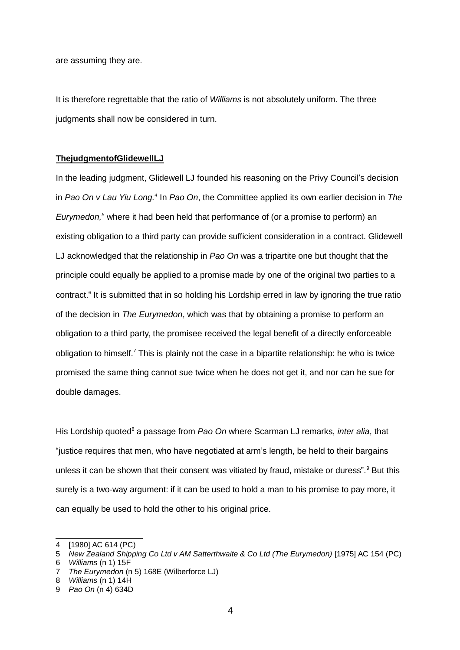are assuming they are.

It is therefore regrettable that the ratio of *Williams* is not absolutely uniform. The three judgments shall now be considered in turn.

#### **ThejudgmentofGlidewellLJ**

In the leading judgment, Glidewell LJ founded his reasoning on the Privy Council's decision in *Pao On v Lau Yiu Long.<sup>4</sup>* In *Pao On*, the Committee applied its own earlier decision in *The Eurymedon, <sup>5</sup>* where it had been held that performance of (or a promise to perform) an existing obligation to a third party can provide sufficient consideration in a contract. Glidewell LJ acknowledged that the relationship in *Pao On* was a tripartite one but thought that the principle could equally be applied to a promise made by one of the original two parties to a contract.<sup>6</sup> It is submitted that in so holding his Lordship erred in law by ignoring the true ratio of the decision in *The Eurymedon*, which was that by obtaining a promise to perform an obligation to a third party, the promisee received the legal benefit of a directly enforceable obligation to himself.<sup>7</sup> This is plainly not the case in a bipartite relationship: he who is twice promised the same thing cannot sue twice when he does not get it, and nor can he sue for double damages.

His Lordship quoted <sup>8</sup> a passage from *Pao On* where Scarman LJ remarks, *inter alia*, that "justice requires that men, who have negotiated at arm's length, be held to their bargains unless it can be shown that their consent was vitiated by fraud, mistake or duress".<sup>9</sup> But this surely is a two-way argument: if it can be used to hold a man to his promise to pay more, it can equally be used to hold the other to his original price.

<sup>4</sup> [1980] AC 614 (PC)

<sup>5</sup> *New Zealand Shipping Co Ltd v AM Satterthwaite & Co Ltd (The Eurymedon)* [1975] AC 154 (PC)

<sup>6</sup> *Williams* (n 1) 15F

<sup>7</sup> *The Eurymedon* (n 5) 168E (Wilberforce LJ)

<sup>8</sup> *Williams* (n 1) 14H

<sup>9</sup> *Pao On* (n 4) 634D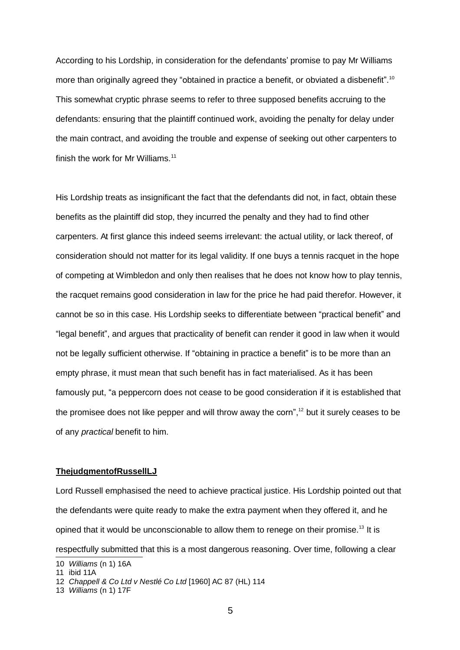According to his Lordship, in consideration for the defendants' promise to pay Mr Williams more than originally agreed they "obtained in practice a benefit, or obviated a disbenefit".<sup>10</sup> This somewhat cryptic phrase seems to refer to three supposed benefits accruing to the defendants: ensuring that the plaintiff continued work, avoiding the penalty for delay under the main contract, and avoiding the trouble and expense of seeking out other carpenters to finish the work for Mr Williams. 11

His Lordship treats as insignificant the fact that the defendants did not, in fact, obtain these benefits as the plaintiff did stop, they incurred the penalty and they had to find other carpenters. At first glance this indeed seems irrelevant: the actual utility, or lack thereof, of consideration should not matter for its legal validity. If one buys a tennis racquet in the hope of competing at Wimbledon and only then realises that he does not know how to play tennis, the racquet remains good consideration in law for the price he had paid therefor. However, it cannot be so in this case. His Lordship seeks to differentiate between "practical benefit" and "legal benefit", and argues that practicality of benefit can render it good in law when it would not be legally sufficient otherwise. If "obtaining in practice a benefit" is to be more than an empty phrase, it must mean that such benefit has in fact materialised. As it has been famously put, "a peppercorn does not cease to be good consideration if it is established that the promisee does not like pepper and will throw away the corn", $^{12}$  but it surely ceases to be of any *practical* benefit to him.

### **ThejudgmentofRussellLJ**

Lord Russell emphasised the need to achieve practical justice. His Lordship pointed out that the defendants were quite ready to make the extra payment when they offered it, and he opined that it would be unconscionable to allow them to renege on their promise.<sup>13</sup> It is respectfully submitted that this is a most dangerous reasoning. Over time, following a clear

<sup>10</sup> *Williams* (n 1) 16A

<sup>11</sup> ibid 11A

<sup>12</sup> *Chappell & Co Ltd v Nestlé Co Ltd* [1960] AC 87 (HL) 114

<sup>13</sup> *Williams* (n 1) 17F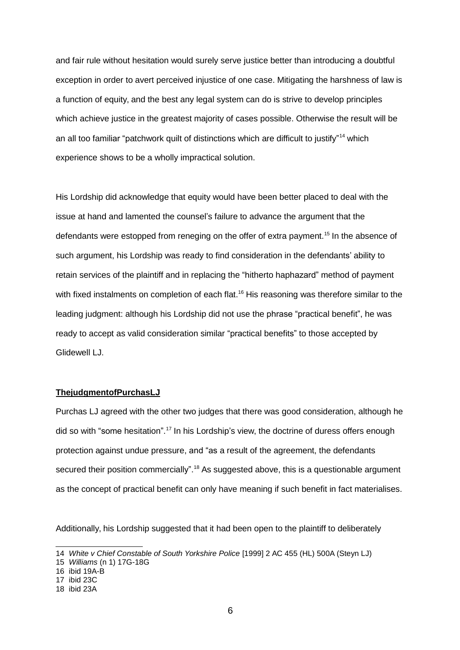and fair rule without hesitation would surely serve justice better than introducing a doubtful exception in order to avert perceived injustice of one case. Mitigating the harshness of law is a function of equity, and the best any legal system can do is strive to develop principles which achieve justice in the greatest majority of cases possible. Otherwise the result will be an all too familiar "patchwork quilt of distinctions which are difficult to justify" <sup>14</sup> which experience shows to be a wholly impractical solution.

His Lordship did acknowledge that equity would have been better placed to deal with the issue at hand and lamented the counsel's failure to advance the argument that the defendants were estopped from reneging on the offer of extra payment.<sup>15</sup> In the absence of such argument, his Lordship was ready to find consideration in the defendants' ability to retain services of the plaintiff and in replacing the "hitherto haphazard" method of payment with fixed instalments on completion of each flat.<sup>16</sup> His reasoning was therefore similar to the leading judgment: although his Lordship did not use the phrase "practical benefit", he was ready to accept as valid consideration similar "practical benefits" to those accepted by Glidewell LJ.

## **ThejudgmentofPurchasLJ**

Purchas LJ agreed with the other two judges that there was good consideration, although he did so with "some hesitation".<sup>17</sup> In his Lordship's view, the doctrine of duress offers enough protection against undue pressure, and "as a result of the agreement, the defendants secured their position commercially".<sup>18</sup> As suggested above, this is a questionable argument as the concept of practical benefit can only have meaning if such benefit in fact materialises.

Additionally, his Lordship suggested that it had been open to the plaintiff to deliberately

<sup>14</sup> *White v Chief Constable of South Yorkshire Police* [1999] 2 AC 455 (HL) 500A (Steyn LJ)

<sup>15</sup> *Williams* (n 1) 17G-18G

<sup>16</sup> ibid 19A-B

<sup>17</sup> ibid 23C

<sup>18</sup> ibid 23A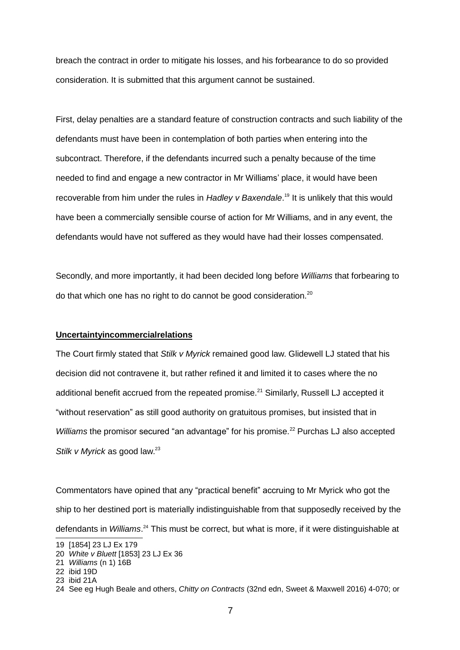breach the contract in order to mitigate his losses, and his forbearance to do so provided consideration. It is submitted that this argument cannot be sustained.

First, delay penalties are a standard feature of construction contracts and such liability of the defendants must have been in contemplation of both parties when entering into the subcontract. Therefore, if the defendants incurred such a penalty because of the time needed to find and engage a new contractor in Mr Williams' place, it would have been recoverable from him under the rules in *Hadley v Baxendale*. 19 It is unlikely that this would have been a commercially sensible course of action for Mr Williams, and in any event, the defendants would have not suffered as they would have had their losses compensated.

Secondly, and more importantly, it had been decided long before *Williams* that forbearing to do that which one has no right to do cannot be good consideration.<sup>20</sup>

## **Uncertaintyincommercialrelations**

The Court firmly stated that *Stilk v Myrick* remained good law. Glidewell LJ stated that his decision did not contravene it, but rather refined it and limited it to cases where the no additional benefit accrued from the repeated promise.<sup>21</sup> Similarly, Russell LJ accepted it "without reservation" as still good authority on gratuitous promises, but insisted that in Williams the promisor secured "an advantage" for his promise.<sup>22</sup> Purchas LJ also accepted *Stilk v Myrick* as good law. 23

Commentators have opined that any "practical benefit" accruing to Mr Myrick who got the ship to her destined port is materially indistinguishable from that supposedly received by the defendants in *Williams*. <sup>24</sup> This must be correct, but what is more, if it were distinguishable at

- 22 ibid 19D
- 23 ibid 21A

<sup>19 [1854]</sup> 23 LJ Ex 179

<sup>20</sup> *White v Bluett* [1853] 23 LJ Ex 36

<sup>21</sup> *Williams* (n 1) 16B

<sup>24</sup> See eg Hugh Beale and others, *Chitty on Contracts* (32nd edn, Sweet & Maxwell 2016) 4-070; or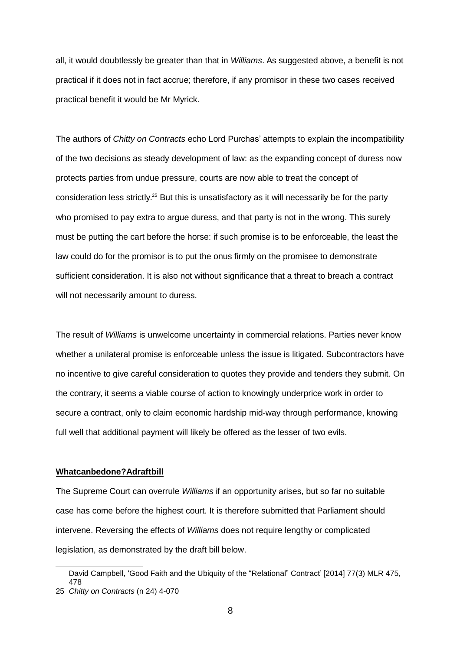all, it would doubtlessly be greater than that in *Williams*. As suggested above, a benefit is not practical if it does not in fact accrue; therefore, if any promisor in these two cases received practical benefit it would be Mr Myrick.

The authors of *Chitty on Contracts* echo Lord Purchas' attempts to explain the incompatibility of the two decisions as steady development of law: as the expanding concept of duress now protects parties from undue pressure, courts are now able to treat the concept of consideration less strictly.<sup>25</sup> But this is unsatisfactory as it will necessarily be for the party who promised to pay extra to argue duress, and that party is not in the wrong. This surely must be putting the cart before the horse: if such promise is to be enforceable, the least the law could do for the promisor is to put the onus firmly on the promisee to demonstrate sufficient consideration. It is also not without significance that a threat to breach a contract will not necessarily amount to duress.

The result of *Williams* is unwelcome uncertainty in commercial relations. Parties never know whether a unilateral promise is enforceable unless the issue is litigated. Subcontractors have no incentive to give careful consideration to quotes they provide and tenders they submit. On the contrary, it seems a viable course of action to knowingly underprice work in order to secure a contract, only to claim economic hardship mid-way through performance, knowing full well that additional payment will likely be offered as the lesser of two evils.

#### **Whatcanbedone?Adraftbill**

The Supreme Court can overrule *Williams* if an opportunity arises, but so far no suitable case has come before the highest court. It is therefore submitted that Parliament should intervene. Reversing the effects of *Williams* does not require lengthy or complicated legislation, as demonstrated by the draft bill below.

David Campbell, 'Good Faith and the Ubiquity of the "Relational" Contract' [2014] 77(3) MLR 475, 478

<sup>25</sup> *Chitty on Contracts* (n 24) 4-070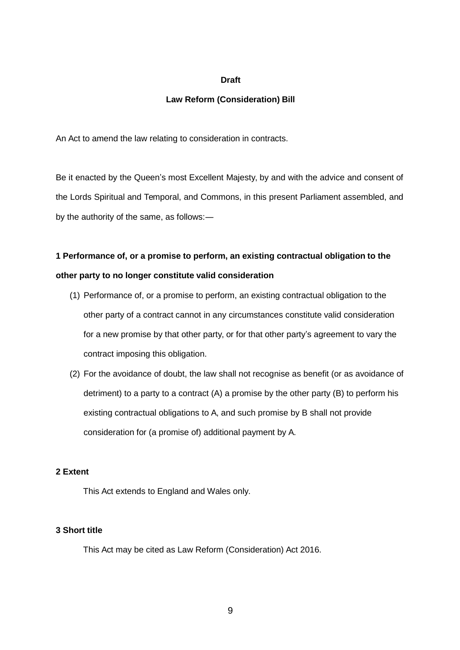## **Draft**

# **Law Reform (Consideration) Bill**

An Act to amend the law relating to consideration in contracts.

Be it enacted by the Queen's most Excellent Majesty, by and with the advice and consent of the Lords Spiritual and Temporal, and Commons, in this present Parliament assembled, and by the authority of the same, as follows:―

# **1 Performance of, or a promise to perform, an existing contractual obligation to the other party to no longer constitute valid consideration**

- (1) Performance of, or a promise to perform, an existing contractual obligation to the other party of a contract cannot in any circumstances constitute valid consideration for a new promise by that other party, or for that other party's agreement to vary the contract imposing this obligation.
- (2) For the avoidance of doubt, the law shall not recognise as benefit (or as avoidance of detriment) to a party to a contract (A) a promise by the other party (B) to perform his existing contractual obligations to A, and such promise by B shall not provide consideration for (a promise of) additional payment by A.

# **2 Extent**

This Act extends to England and Wales only.

# **3 Short title**

This Act may be cited as Law Reform (Consideration) Act 2016.